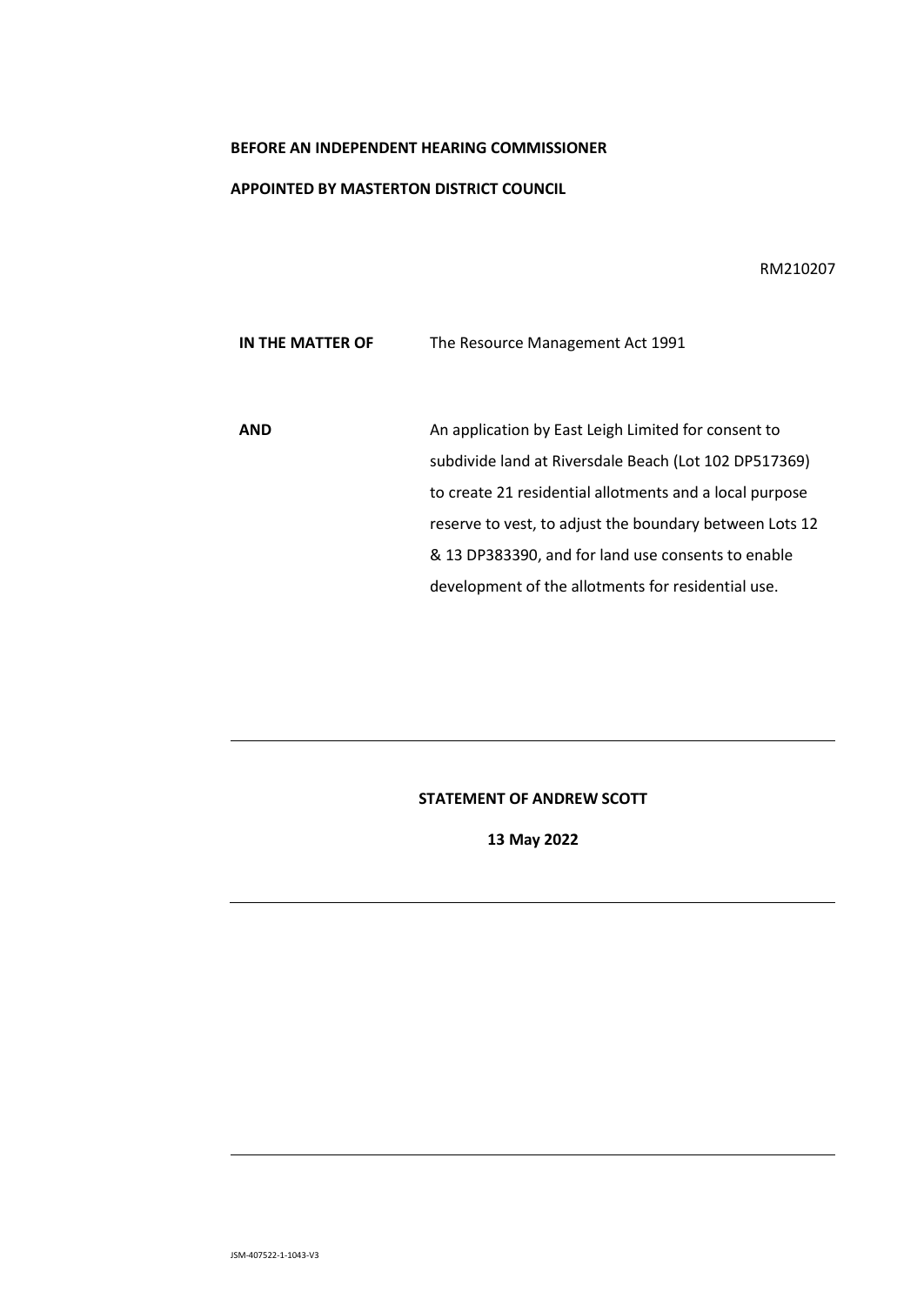## **BEFORE AN INDEPENDENT HEARING COMMISSIONER**

## **APPOINTED BY MASTERTON DISTRICT COUNCIL**

RM210207

**IN THE MATTER OF The Resource Management Act 1991** 

AND An application by East Leigh Limited for consent to subdivide land at Riversdale Beach (Lot 102 DP517369) to create 21 residential allotments and a local purpose reserve to vest, to adjust the boundary between Lots 12 & 13 DP383390, and for land use consents to enable development of the allotments for residential use.

## **STATEMENT OF ANDREW SCOTT**

**13 May 2022**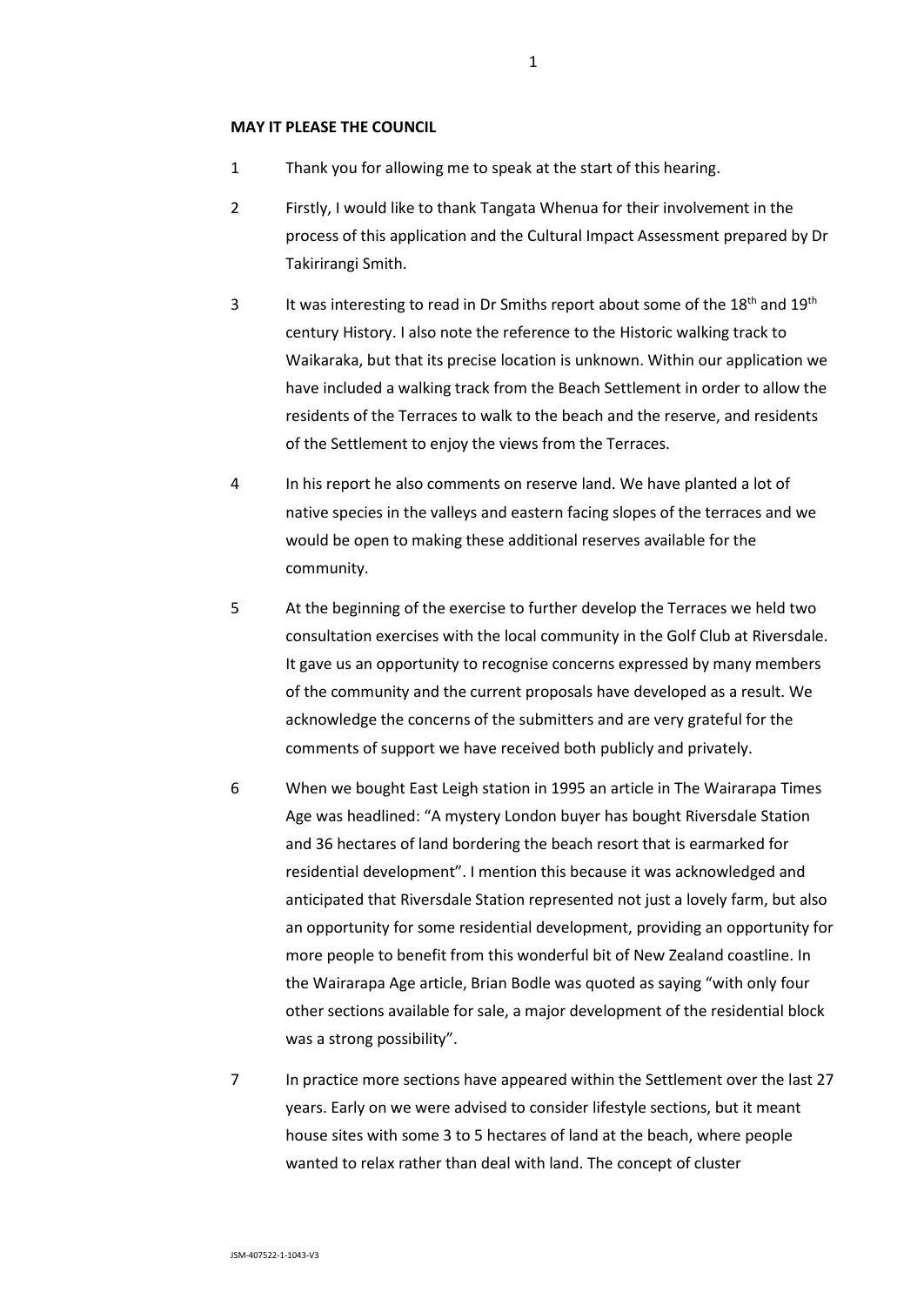- 1 Thank you for allowing me to speak at the start of this hearing.
- 2 Firstly, I would like to thank Tangata Whenua for their involvement in the process of this application and the Cultural Impact Assessment prepared by Dr Takirirangi Smith.
- 3 It was interesting to read in Dr Smiths report about some of the  $18^{th}$  and  $19^{th}$ century History. I also note the reference to the Historic walking track to Waikaraka, but that its precise location is unknown. Within our application we have included a walking track from the Beach Settlement in order to allow the residents of the Terraces to walk to the beach and the reserve, and residents of the Settlement to enjoy the views from the Terraces.
- 4 In his report he also comments on reserve land. We have planted a lot of native species in the valleys and eastern facing slopes of the terraces and we would be open to making these additional reserves available for the community.
- 5 At the beginning of the exercise to further develop the Terraces we held two consultation exercises with the local community in the Golf Club at Riversdale. It gave us an opportunity to recognise concerns expressed by many members of the community and the current proposals have developed as a result. We acknowledge the concerns of the submitters and are very grateful for the comments of support we have received both publicly and privately.
- 6 When we bought East Leigh station in 1995 an article in The Wairarapa Times Age was headlined: "A mystery London buyer has bought Riversdale Station and 36 hectares of land bordering the beach resort that is earmarked for residential development". I mention this because it was acknowledged and anticipated that Riversdale Station represented not just a lovely farm, but also an opportunity for some residential development, providing an opportunity for more people to benefit from this wonderful bit of New Zealand coastline. In the Wairarapa Age article, Brian Bodle was quoted as saying "with only four other sections available for sale, a major development of the residential block was a strong possibility".
- 7 In practice more sections have appeared within the Settlement over the last 27 years. Early on we were advised to consider lifestyle sections, but it meant house sites with some 3 to 5 hectares of land at the beach, where people wanted to relax rather than deal with land. The concept of cluster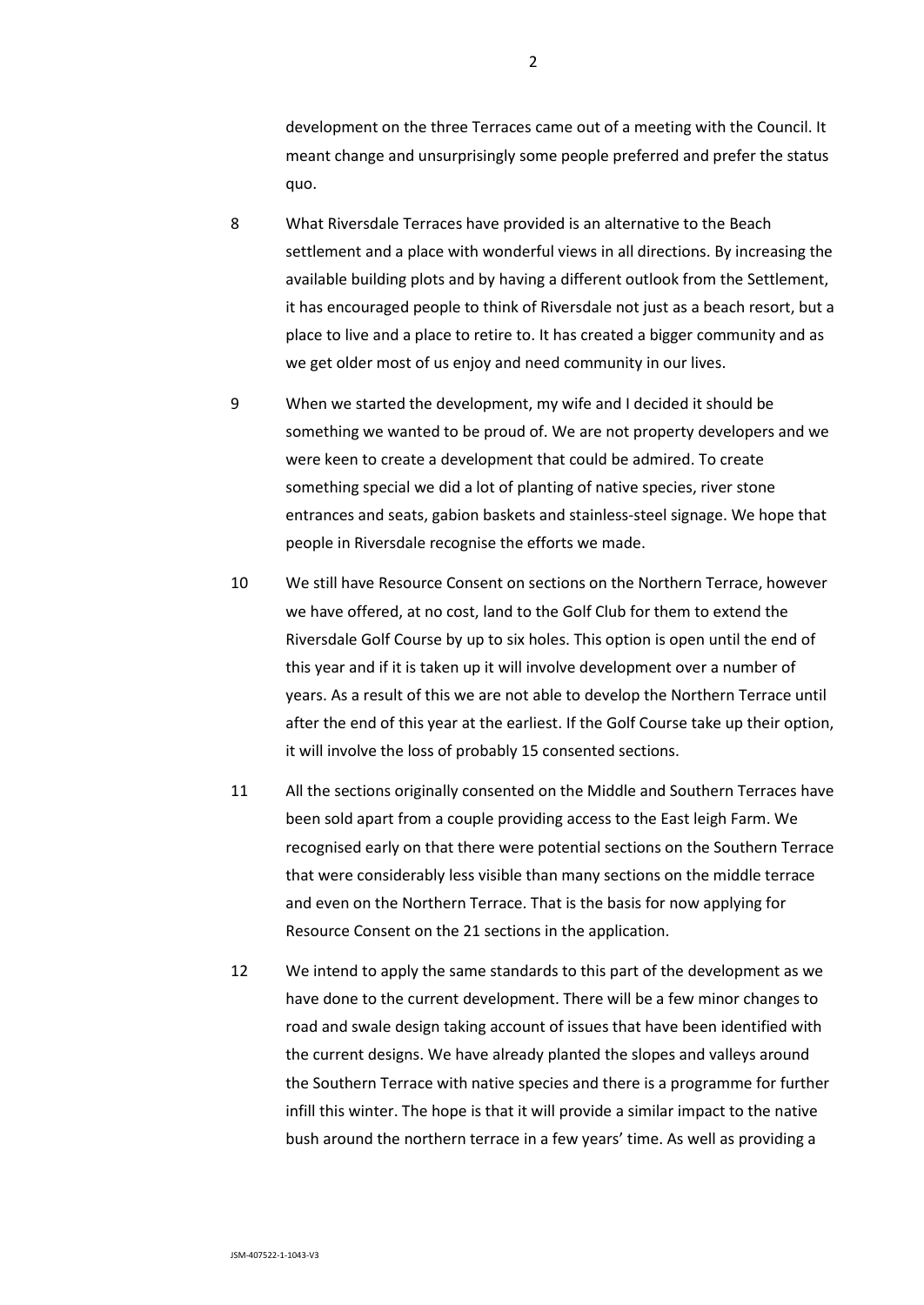development on the three Terraces came out of a meeting with the Council. It meant change and unsurprisingly some people preferred and prefer the status quo.

- 8 What Riversdale Terraces have provided is an alternative to the Beach settlement and a place with wonderful views in all directions. By increasing the available building plots and by having a different outlook from the Settlement, it has encouraged people to think of Riversdale not just as a beach resort, but a place to live and a place to retire to. It has created a bigger community and as we get older most of us enjoy and need community in our lives.
- 9 When we started the development, my wife and I decided it should be something we wanted to be proud of. We are not property developers and we were keen to create a development that could be admired. To create something special we did a lot of planting of native species, river stone entrances and seats, gabion baskets and stainless-steel signage. We hope that people in Riversdale recognise the efforts we made.
- 10 We still have Resource Consent on sections on the Northern Terrace, however we have offered, at no cost, land to the Golf Club for them to extend the Riversdale Golf Course by up to six holes. This option is open until the end of this year and if it is taken up it will involve development over a number of years. As a result of this we are not able to develop the Northern Terrace until after the end of this year at the earliest. If the Golf Course take up their option, it will involve the loss of probably 15 consented sections.
- 11 All the sections originally consented on the Middle and Southern Terraces have been sold apart from a couple providing access to the East leigh Farm. We recognised early on that there were potential sections on the Southern Terrace that were considerably less visible than many sections on the middle terrace and even on the Northern Terrace. That is the basis for now applying for Resource Consent on the 21 sections in the application.
- 12 We intend to apply the same standards to this part of the development as we have done to the current development. There will be a few minor changes to road and swale design taking account of issues that have been identified with the current designs. We have already planted the slopes and valleys around the Southern Terrace with native species and there is a programme for further infill this winter. The hope is that it will provide a similar impact to the native bush around the northern terrace in a few years' time. As well as providing a